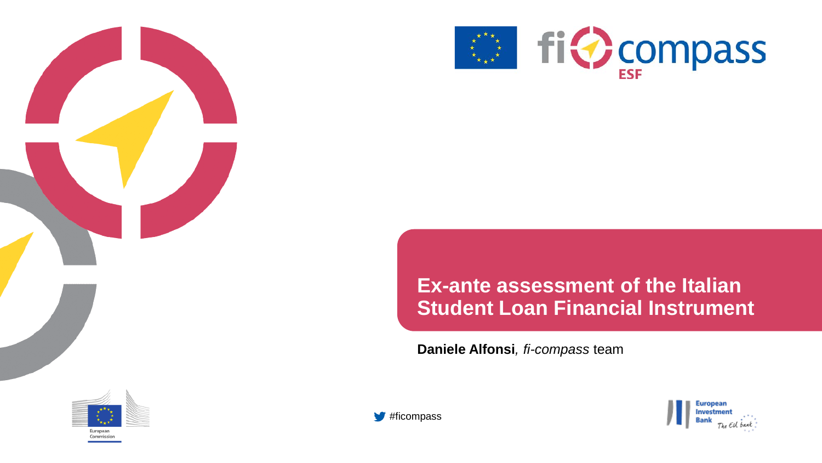



#### **Ex-ante assessment of the Italian Student Loan Financial Instrument**

**Daniele Alfonsi***, fi-compass* team





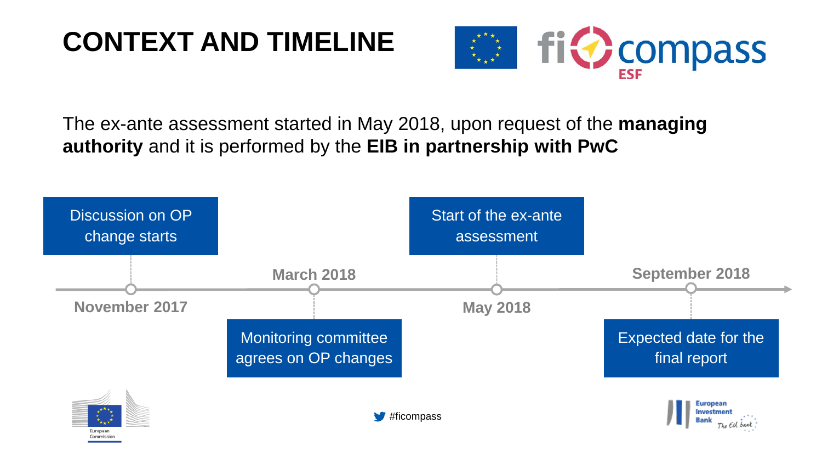## **CONTEXT AND TIMELINE**



The ex-ante assessment started in May 2018, upon request of the **managing authority** and it is performed by the **EIB in partnership with PwC**

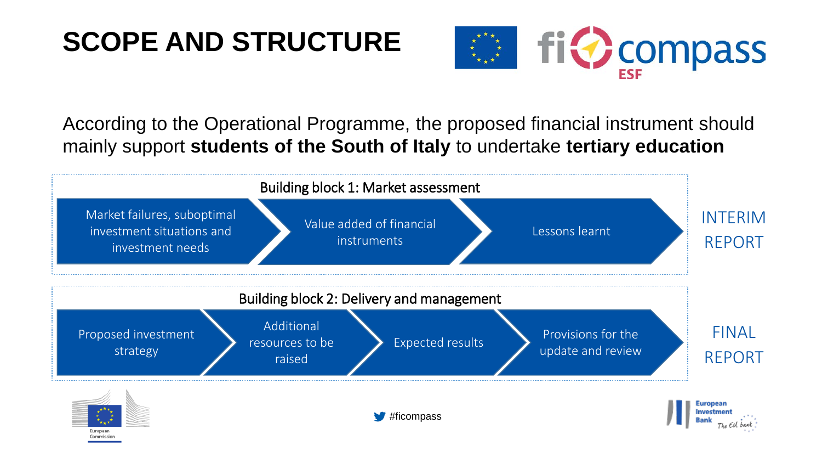### **SCOPE AND STRUCTURE**



According to the Operational Programme, the proposed financial instrument should mainly support **students of the South of Italy** to undertake **tertiary education**

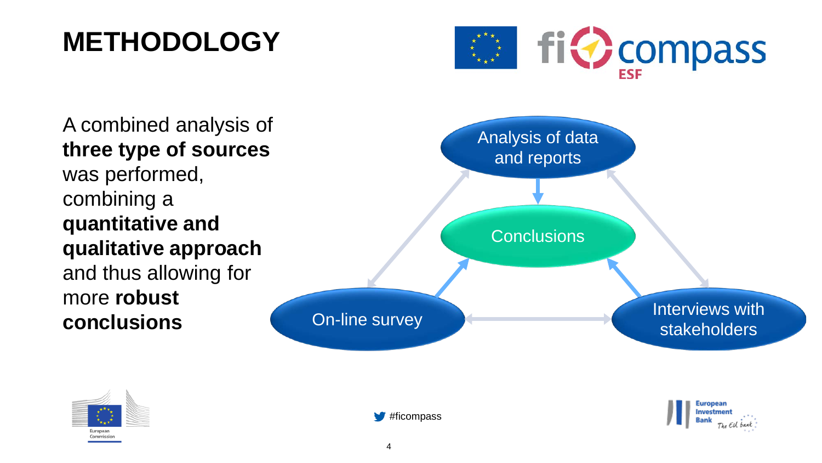#### **METHODOLOGY**



A combined analysis of **three type of sources** was performed, combining a **quantitative and qualitative approach**  and thus allowing for more **robust conclusions**







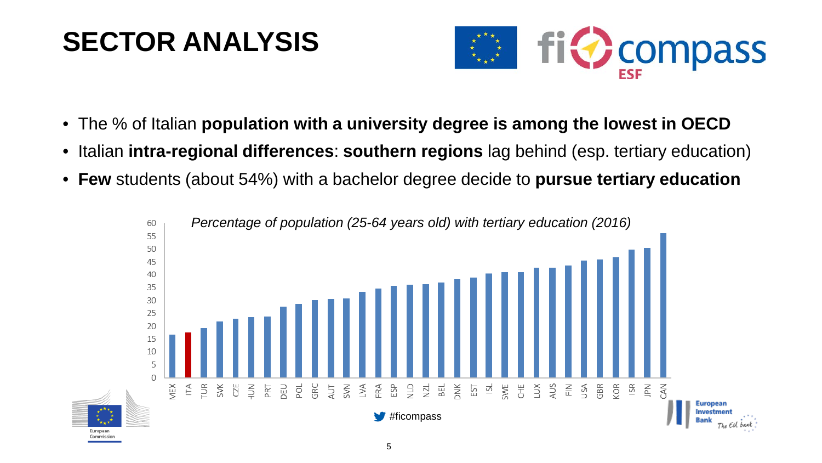## **SECTOR ANALYSIS**



- The % of Italian **population with a university degree is among the lowest in OECD**
- Italian **intra-regional differences**: **southern regions** lag behind (esp. tertiary education)
- **Few** students (about 54%) with a bachelor degree decide to **pursue tertiary education**

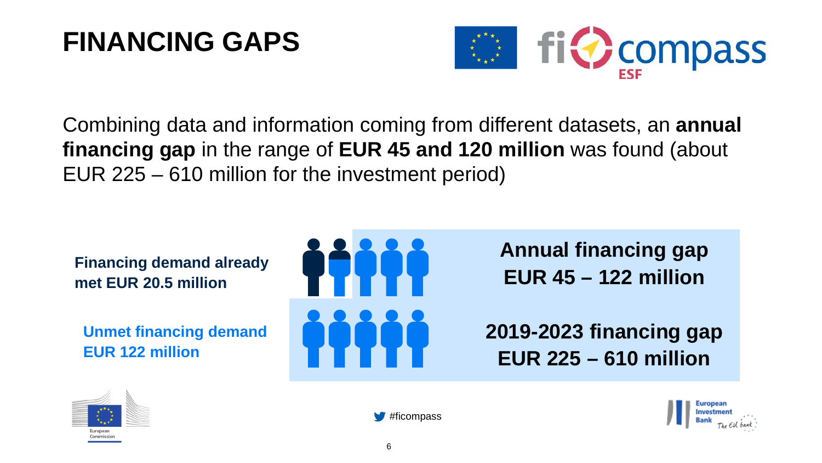#### **FINANCING GAPS**



Combining data and information coming from different datasets, an **annual financing gap** in the range of **EUR 45 and 120 million** was found (about EUR 225 – 610 million for the investment period)

**Financing demand already met EUR 20.5 million**

**Unmet financing demand EUR 122 million**



**Annual financing gap EUR 45 – 122 million**

**2019-2023 financing gap EUR 225 – 610 million** 





#ficompass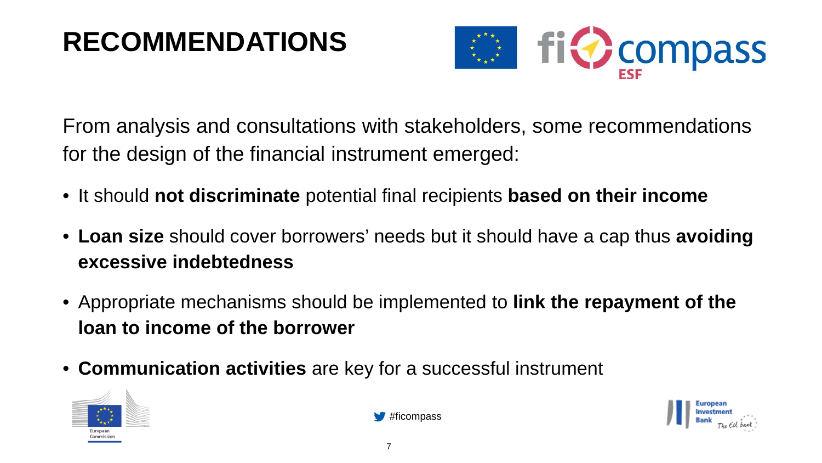# **RECOMMENDATIONS**



From analysis and consultations with stakeholders, some recommendations for the design of the financial instrument emerged:

- It should **not discriminate** potential final recipients **based on their income**
- **Loan size** should cover borrowers' needs but it should have a cap thus **avoiding excessive indebtedness**
- Appropriate mechanisms should be implemented to **link the repayment of the loan to income of the borrower**
- **Communication activities** are key for a successful instrument





#ficompass